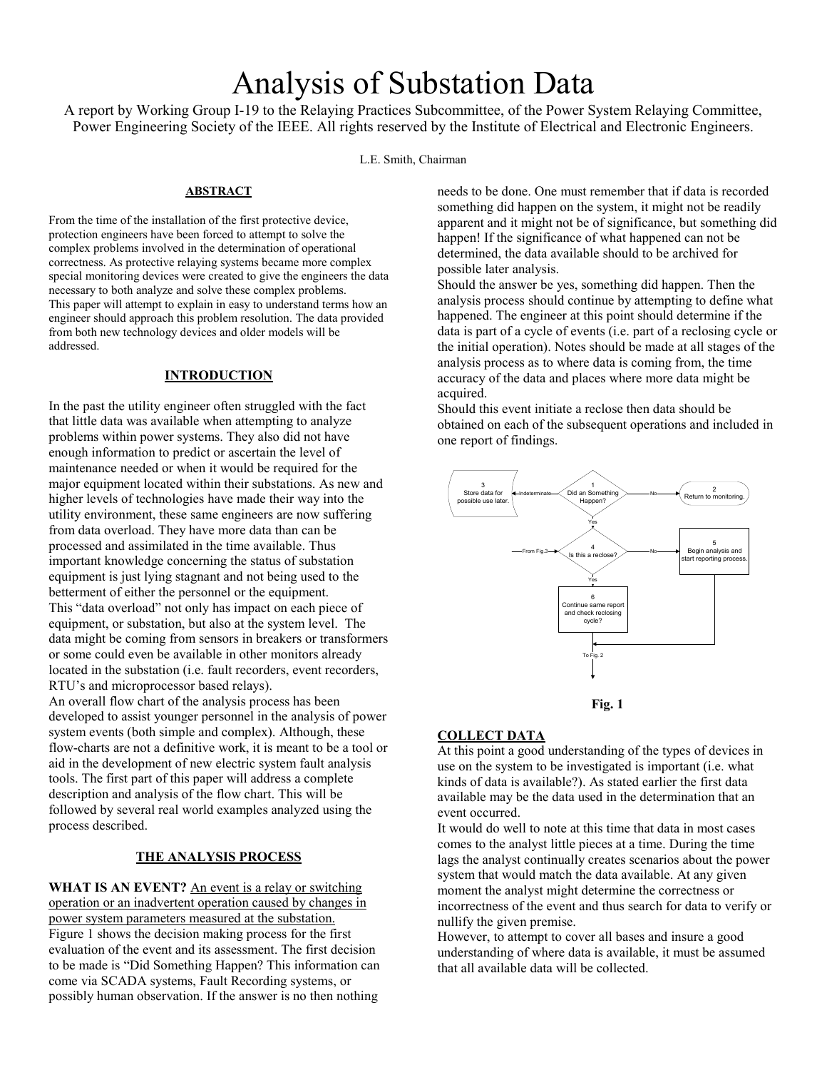# Analysis of Substation Data

A report by Working Group I-19 to the Relaying Practices Subcommittee, of the Power System Relaying Committee, Power Engineering Society of the IEEE. All rights reserved by the Institute of Electrical and Electronic Engineers.

L.E. Smith, Chairman

#### **ABSTRACT**

From the time of the installation of the first protective device, protection engineers have been forced to attempt to solve the complex problems involved in the determination of operational correctness. As protective relaying systems became more complex special monitoring devices were created to give the engineers the data necessary to both analyze and solve these complex problems. This paper will attempt to explain in easy to understand terms how an engineer should approach this problem resolution. The data provided from both new technology devices and older models will be addressed.

#### **INTRODUCTION**

In the past the utility engineer often struggled with the fact that little data was available when attempting to analyze problems within power systems. They also did not have enough information to predict or ascertain the level of maintenance needed or when it would be required for the major equipment located within their substations. As new and higher levels of technologies have made their way into the utility environment, these same engineers are now suffering from data overload. They have more data than can be processed and assimilated in the time available. Thus important knowledge concerning the status of substation equipment is just lying stagnant and not being used to the betterment of either the personnel or the equipment. This "data overload" not only has impact on each piece of equipment, or substation, but also at the system level. The data might be coming from sensors in breakers or transformers or some could even be available in other monitors already located in the substation (i.e. fault recorders, event recorders, RTU's and microprocessor based relays).

An overall flow chart of the analysis process has been developed to assist younger personnel in the analysis of power system events (both simple and complex). Although, these flow-charts are not a definitive work, it is meant to be a tool or aid in the development of new electric system fault analysis tools. The first part of this paper will address a complete description and analysis of the flow chart. This will be followed by several real world examples analyzed using the process described.

#### **THE ANALYSIS PROCESS**

**WHAT IS AN EVENT?** An event is a relay or switching operation or an inadvertent operation caused by changes in power system parameters measured at the substation. Figure 1 shows the decision making process for the first evaluation of the event and its assessment. The first decision to be made is "Did Something Happen? This information can come via SCADA systems, Fault Recording systems, or possibly human observation. If the answer is no then nothing

needs to be done. One must remember that if data is recorded something did happen on the system, it might not be readily apparent and it might not be of significance, but something did happen! If the significance of what happened can not be determined, the data available should to be archived for possible later analysis.

Should the answer be yes, something did happen. Then the analysis process should continue by attempting to define what happened. The engineer at this point should determine if the data is part of a cycle of events (i.e. part of a reclosing cycle or the initial operation). Notes should be made at all stages of the analysis process as to where data is coming from, the time accuracy of the data and places where more data might be acquired.

Should this event initiate a reclose then data should be obtained on each of the subsequent operations and included in one report of findings.





#### **COLLECT DATA**

At this point a good understanding of the types of devices in use on the system to be investigated is important (i.e. what kinds of data is available?). As stated earlier the first data available may be the data used in the determination that an event occurred.

It would do well to note at this time that data in most cases comes to the analyst little pieces at a time. During the time lags the analyst continually creates scenarios about the power system that would match the data available. At any given moment the analyst might determine the correctness or incorrectness of the event and thus search for data to verify or nullify the given premise.

However, to attempt to cover all bases and insure a good understanding of where data is available, it must be assumed that all available data will be collected.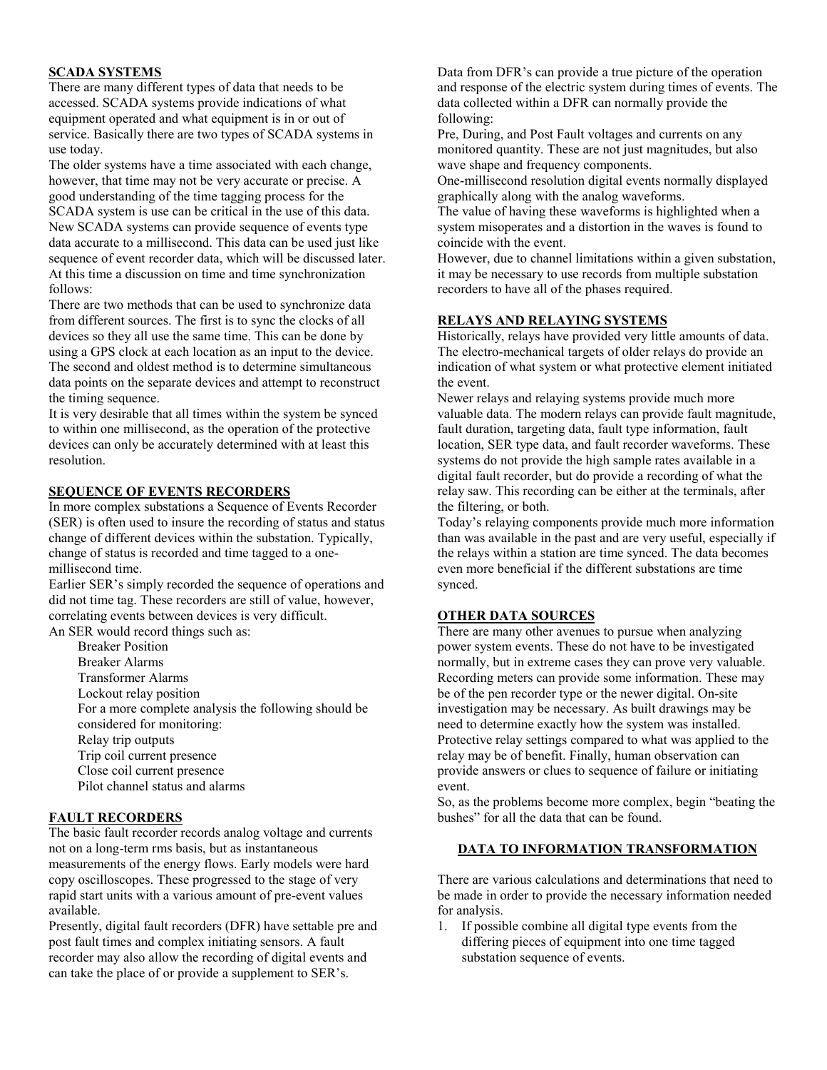## **SCADA SYSTEMS**

There are many different types of data that needs to be accessed. SCADA systems provide indications of what equipment operated and what equipment is in or out of service. Basically there are two types of SCADA systems in use today.

The older systems have a time associated with each change, however, that time may not be very accurate or precise. A good understanding of the time tagging process for the SCADA system is use can be critical in the use of this data. New SCADA systems can provide sequence of events type data accurate to a millisecond. This data can be used just like sequence of event recorder data, which will be discussed later. At this time a discussion on time and time synchronization follows:

There are two methods that can be used to synchronize data from different sources. The first is to sync the clocks of all devices so they all use the same time. This can be done by using a GPS clock at each location as an input to the device. The second and oldest method is to determine simultaneous data points on the separate devices and attempt to reconstruct the timing sequence.

It is very desirable that all times within the system be synced to within one millisecond, as the operation of the protective devices can only be accurately determined with at least this resolution.

## **SEQUENCE OF EVENTS RECORDERS**

In more complex substations a Sequence of Events Recorder (SER) is often used to insure the recording of status and status change of different devices within the substation. Typically, change of status is recorded and time tagged to a onemillisecond time.

Earlier SER's simply recorded the sequence of operations and did not time tag. These recorders are still of value, however, correlating events between devices is very difficult. An SER would record things such as:

Breaker Position Breaker Alarms

Transformer Alarms

Lockout relay position

For a more complete analysis the following should be considered for monitoring:

Relay trip outputs

Trip coil current presence

Close coil current presence Pilot channel status and alarms

# **FAULT RECORDERS**

The basic fault recorder records analog voltage and currents not on a long-term rms basis, but as instantaneous measurements of the energy flows. Early models were hard copy oscilloscopes. These progressed to the stage of very rapid start units with a various amount of pre-event values available.

Presently, digital fault recorders (DFR) have settable pre and post fault times and complex initiating sensors. A fault recorder may also allow the recording of digital events and can take the place of or provide a supplement to SER's.

Data from DFR's can provide a true picture of the operation and response of the electric system during times of events. The data collected within a DFR can normally provide the following:

Pre, During, and Post Fault voltages and currents on any monitored quantity. These are not just magnitudes, but also wave shape and frequency components.

One-millisecond resolution digital events normally displayed graphically along with the analog waveforms.

The value of having these waveforms is highlighted when a system misoperates and a distortion in the waves is found to coincide with the event.

However, due to channel limitations within a given substation, it may be necessary to use records from multiple substation recorders to have all of the phases required.

## **RELAYS AND RELAYING SYSTEMS**

Historically, relays have provided very little amounts of data. The electro-mechanical targets of older relays do provide an indication of what system or what protective element initiated the event.

Newer relays and relaying systems provide much more valuable data. The modern relays can provide fault magnitude, fault duration, targeting data, fault type information, fault location, SER type data, and fault recorder waveforms. These systems do not provide the high sample rates available in a digital fault recorder, but do provide a recording of what the relay saw. This recording can be either at the terminals, after the filtering, or both.

Today's relaying components provide much more information than was available in the past and are very useful, especially if the relays within a station are time synced. The data becomes even more beneficial if the different substations are time synced.

## **OTHER DATA SOURCES**

There are many other avenues to pursue when analyzing power system events. These do not have to be investigated normally, but in extreme cases they can prove very valuable. Recording meters can provide some information. These may be of the pen recorder type or the newer digital. On-site investigation may be necessary. As built drawings may be need to determine exactly how the system was installed. Protective relay settings compared to what was applied to the relay may be of benefit. Finally, human observation can provide answers or clues to sequence of failure or initiating event.

So, as the problems become more complex, begin "beating the bushes" for all the data that can be found.

## **DATA TO INFORMATION TRANSFORMATION**

There are various calculations and determinations that need to be made in order to provide the necessary information needed for analysis.

1. If possible combine all digital type events from the differing pieces of equipment into one time tagged substation sequence of events.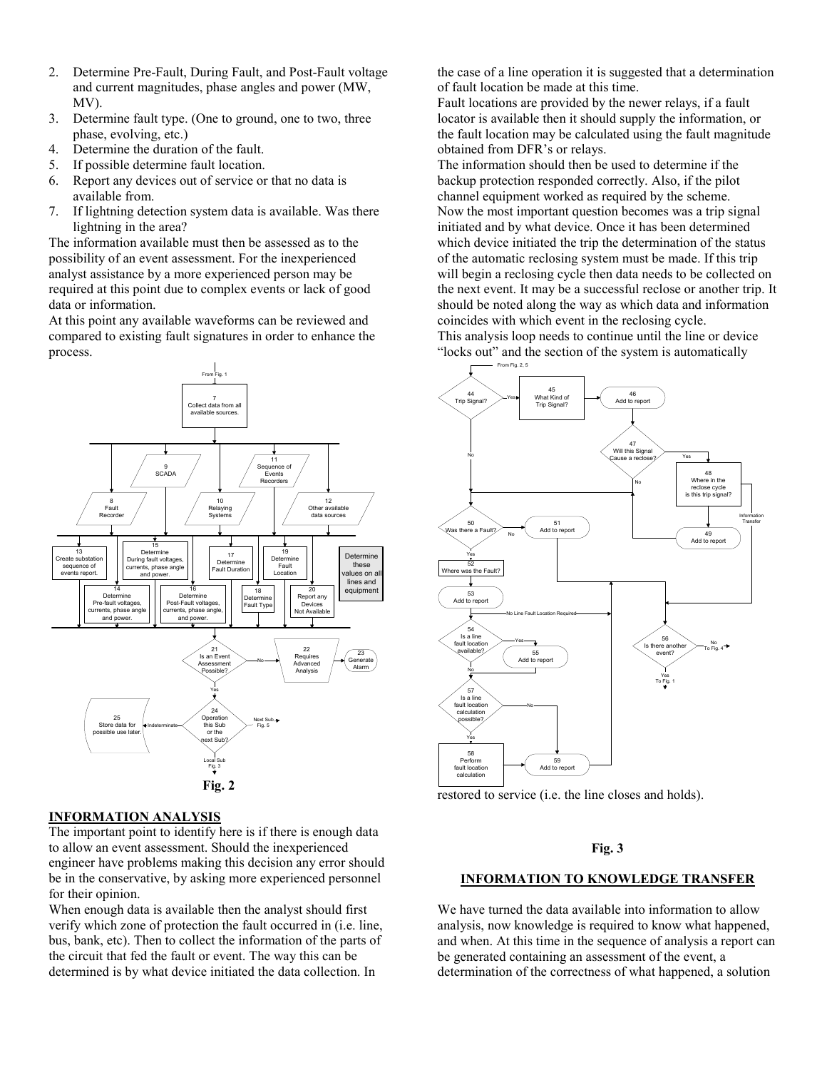- 2. Determine Pre-Fault, During Fault, and Post-Fault voltage and current magnitudes, phase angles and power (MW, MV).
- 3. Determine fault type. (One to ground, one to two, three phase, evolving, etc.)
- 4. Determine the duration of the fault.
- 5. If possible determine fault location.
- 6. Report any devices out of service or that no data is available from.
- 7. If lightning detection system data is available. Was there lightning in the area?

The information available must then be assessed as to the possibility of an event assessment. For the inexperienced analyst assistance by a more experienced person may be required at this point due to complex events or lack of good data or information.

At this point any available waveforms can be reviewed and compared to existing fault signatures in order to enhance the process.



## **INFORMATION ANALYSIS**

The important point to identify here is if there is enough data to allow an event assessment. Should the inexperienced engineer have problems making this decision any error should be in the conservative, by asking more experienced personnel for their opinion.

When enough data is available then the analyst should first verify which zone of protection the fault occurred in (i.e. line, bus, bank, etc). Then to collect the information of the parts of the circuit that fed the fault or event. The way this can be determined is by what device initiated the data collection. In

the case of a line operation it is suggested that a determination of fault location be made at this time.

Fault locations are provided by the newer relays, if a fault locator is available then it should supply the information, or the fault location may be calculated using the fault magnitude obtained from DFR's or relays.

The information should then be used to determine if the backup protection responded correctly. Also, if the pilot channel equipment worked as required by the scheme. Now the most important question becomes was a trip signal initiated and by what device. Once it has been determined which device initiated the trip the determination of the status of the automatic reclosing system must be made. If this trip will begin a reclosing cycle then data needs to be collected on the next event. It may be a successful reclose or another trip. It should be noted along the way as which data and information coincides with which event in the reclosing cycle. This analysis loop needs to continue until the line or device "locks out" and the section of the system is automatically



restored to service (i.e. the line closes and holds).

## **Fig. 3**

# **INFORMATION TO KNOWLEDGE TRANSFER**

We have turned the data available into information to allow analysis, now knowledge is required to know what happened, and when. At this time in the sequence of analysis a report can be generated containing an assessment of the event, a determination of the correctness of what happened, a solution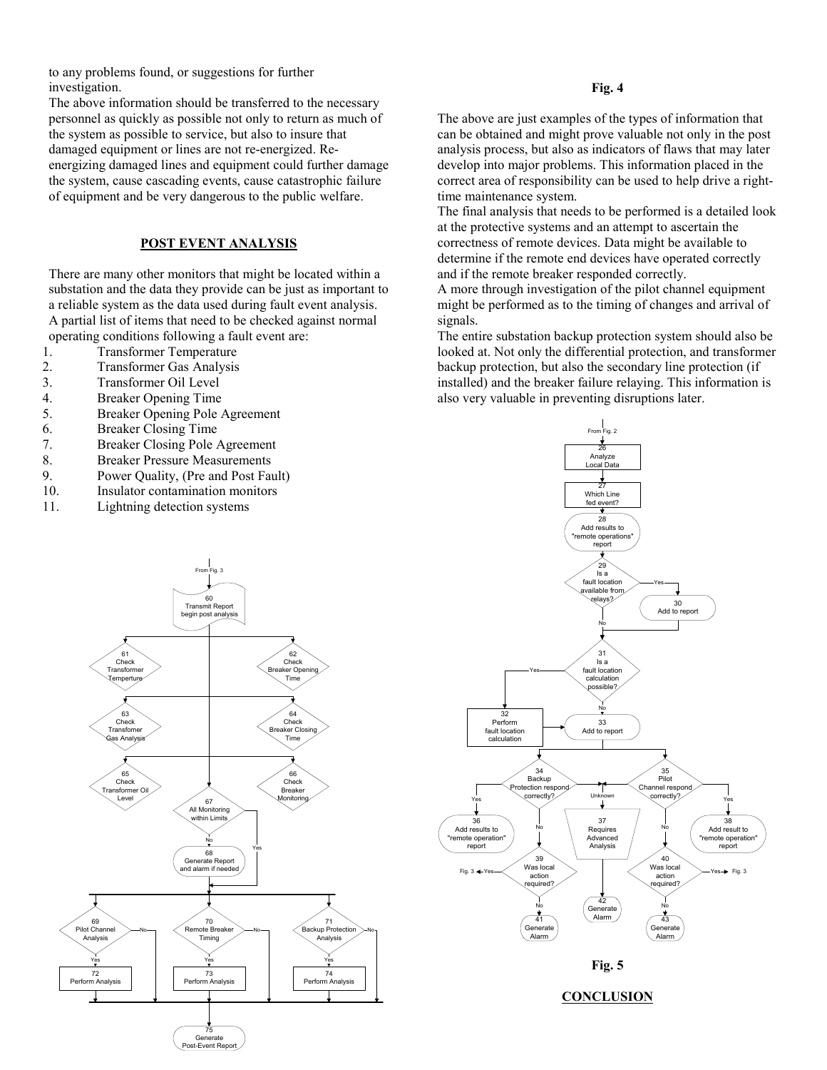to any problems found, or suggestions for further investigation.

The above information should be transferred to the necessary personnel as quickly as possible not only to return as much of the system as possible to service, but also to insure that damaged equipment or lines are not re-energized. Reenergizing damaged lines and equipment could further damage the system, cause cascading events, cause catastrophic failure of equipment and be very dangerous to the public welfare.

#### **POST EVENT ANALYSIS**

There are many other monitors that might be located within a substation and the data they provide can be just as important to a reliable system as the data used during fault event analysis. A partial list of items that need to be checked against normal operating conditions following a fault event are:

- 1. Transformer Temperature
- 2. Transformer Gas Analysis
- 3. Transformer Oil Level
- 4. Breaker Opening Time
- 5. Breaker Opening Pole Agreement
- 6. Breaker Closing Time
- 7. Breaker Closing Pole Agreement
- 8. Breaker Pressure Measurements
- 9. Power Quality, (Pre and Post Fault)
- 10. Insulator contamination monitors
- 11. Lightning detection systems



The above are just examples of the types of information that can be obtained and might prove valuable not only in the post analysis process, but also as indicators of flaws that may later develop into major problems. This information placed in the correct area of responsibility can be used to help drive a righttime maintenance system.

The final analysis that needs to be performed is a detailed look at the protective systems and an attempt to ascertain the correctness of remote devices. Data might be available to determine if the remote end devices have operated correctly and if the remote breaker responded correctly.

A more through investigation of the pilot channel equipment might be performed as to the timing of changes and arrival of signals.

The entire substation backup protection system should also be looked at. Not only the differential protection, and transformer backup protection, but also the secondary line protection (if installed) and the breaker failure relaying. This information is also very valuable in preventing disruptions later.





**CONCLUSION**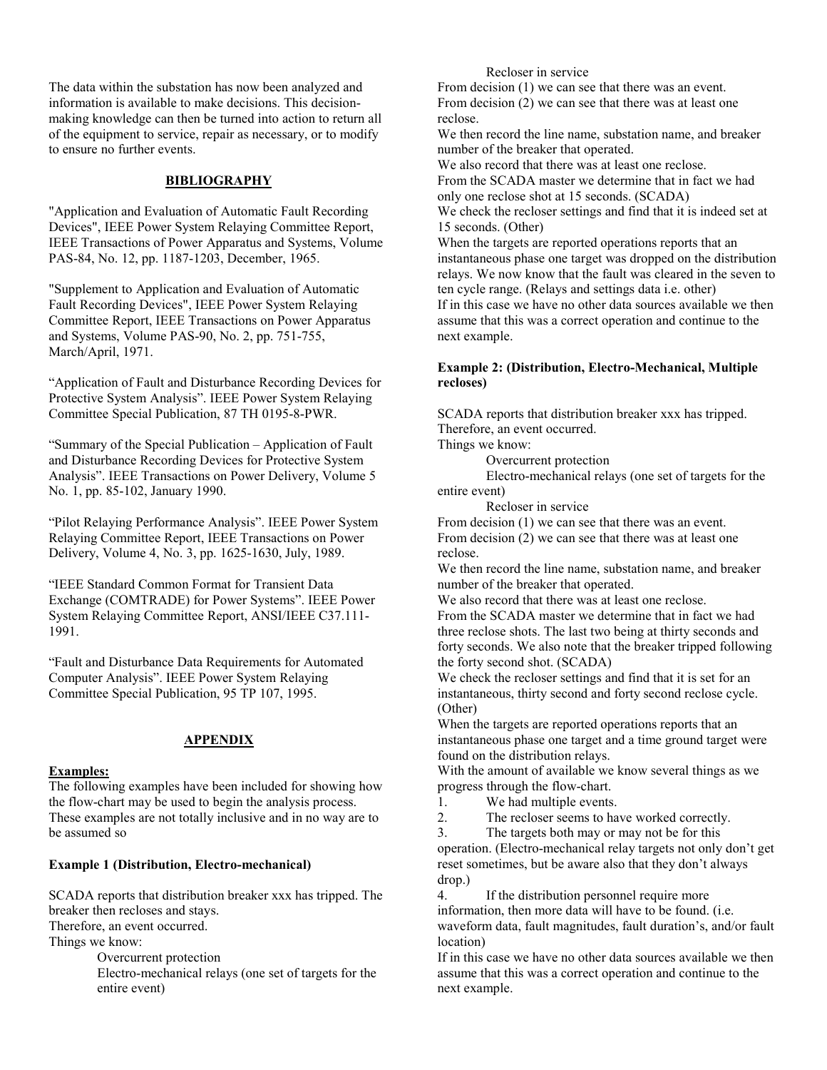The data within the substation has now been analyzed and information is available to make decisions. This decisionmaking knowledge can then be turned into action to return all of the equipment to service, repair as necessary, or to modify to ensure no further events.

#### **BIBLIOGRAPHY**

"Application and Evaluation of Automatic Fault Recording Devices", IEEE Power System Relaying Committee Report, IEEE Transactions of Power Apparatus and Systems, Volume PAS-84, No. 12, pp. 1187-1203, December, 1965.

"Supplement to Application and Evaluation of Automatic Fault Recording Devices", IEEE Power System Relaying Committee Report, IEEE Transactions on Power Apparatus and Systems, Volume PAS-90, No. 2, pp. 751-755, March/April, 1971.

"Application of Fault and Disturbance Recording Devices for Protective System Analysis". IEEE Power System Relaying Committee Special Publication, 87 TH 0195-8-PWR.

"Summary of the Special Publication – Application of Fault and Disturbance Recording Devices for Protective System Analysis". IEEE Transactions on Power Delivery, Volume 5 No. 1, pp. 85-102, January 1990.

"Pilot Relaying Performance Analysis". IEEE Power System Relaying Committee Report, IEEE Transactions on Power Delivery, Volume 4, No. 3, pp. 1625-1630, July, 1989.

"IEEE Standard Common Format for Transient Data Exchange (COMTRADE) for Power Systems". IEEE Power System Relaying Committee Report, ANSI/IEEE C37.111- 1991.

"Fault and Disturbance Data Requirements for Automated Computer Analysis". IEEE Power System Relaying Committee Special Publication, 95 TP 107, 1995.

#### **APPENDIX**

#### **Examples:**

The following examples have been included for showing how the flow-chart may be used to begin the analysis process. These examples are not totally inclusive and in no way are to be assumed so

#### **Example 1 (Distribution, Electro-mechanical)**

SCADA reports that distribution breaker xxx has tripped. The breaker then recloses and stays. Therefore, an event occurred. Things we know:

> Overcurrent protection Electro-mechanical relays (one set of targets for the entire event)

Recloser in service

From decision (1) we can see that there was an event. From decision (2) we can see that there was at least one reclose.

We then record the line name, substation name, and breaker number of the breaker that operated.

We also record that there was at least one reclose.

From the SCADA master we determine that in fact we had only one reclose shot at 15 seconds. (SCADA)

We check the recloser settings and find that it is indeed set at 15 seconds. (Other)

When the targets are reported operations reports that an instantaneous phase one target was dropped on the distribution relays. We now know that the fault was cleared in the seven to ten cycle range. (Relays and settings data i.e. other) If in this case we have no other data sources available we then assume that this was a correct operation and continue to the

#### **Example 2: (Distribution, Electro-Mechanical, Multiple recloses)**

SCADA reports that distribution breaker xxx has tripped. Therefore, an event occurred.

Things we know:

next example.

Overcurrent protection

Electro-mechanical relays (one set of targets for the entire event)

Recloser in service

From decision (1) we can see that there was an event.

From decision (2) we can see that there was at least one reclose.

We then record the line name, substation name, and breaker number of the breaker that operated.

We also record that there was at least one reclose. From the SCADA master we determine that in fact we had three reclose shots. The last two being at thirty seconds and

forty seconds. We also note that the breaker tripped following the forty second shot. (SCADA)

We check the recloser settings and find that it is set for an instantaneous, thirty second and forty second reclose cycle. (Other)

When the targets are reported operations reports that an instantaneous phase one target and a time ground target were found on the distribution relays.

With the amount of available we know several things as we progress through the flow-chart.

1. We had multiple events.

2. The recloser seems to have worked correctly.

3. The targets both may or may not be for this

operation. (Electro-mechanical relay targets not only don't get reset sometimes, but be aware also that they don't always drop.)

4. If the distribution personnel require more information, then more data will have to be found. (i.e. waveform data, fault magnitudes, fault duration's, and/or fault location)

If in this case we have no other data sources available we then assume that this was a correct operation and continue to the next example.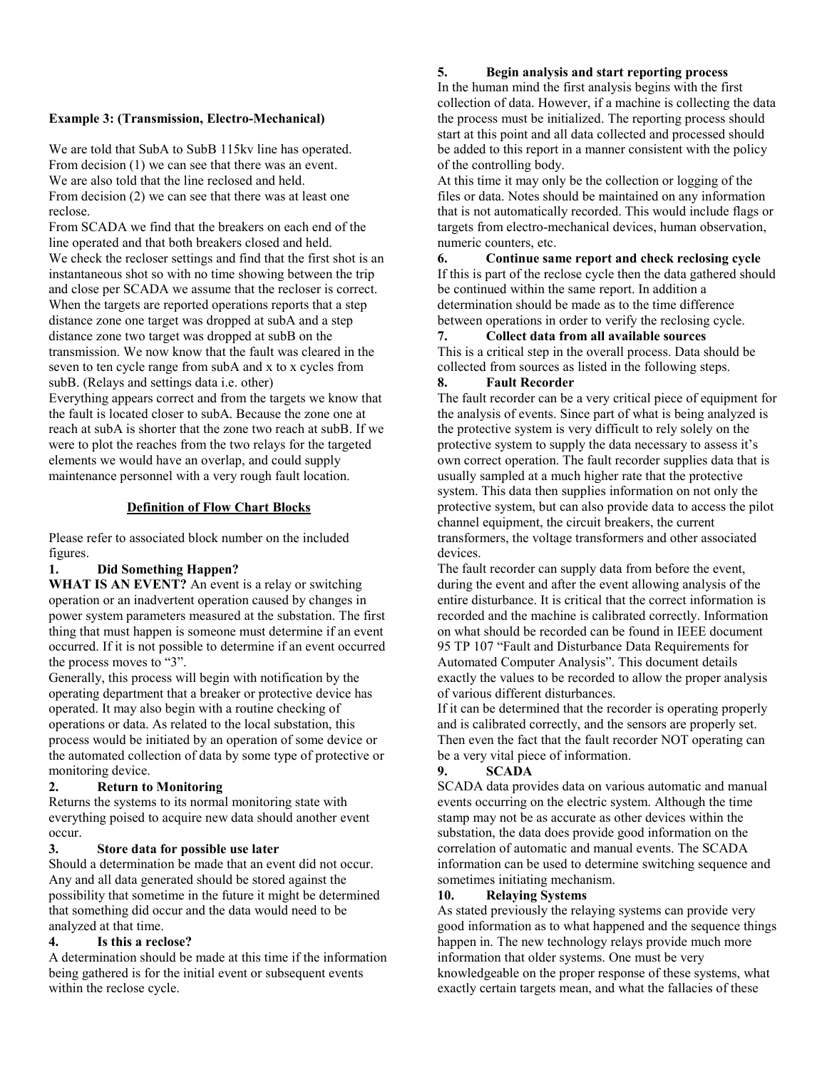## **Example 3: (Transmission, Electro-Mechanical)**

We are told that SubA to SubB 115kv line has operated. From decision (1) we can see that there was an event. We are also told that the line reclosed and held. From decision (2) we can see that there was at least one reclose.

From SCADA we find that the breakers on each end of the line operated and that both breakers closed and held. We check the recloser settings and find that the first shot is an instantaneous shot so with no time showing between the trip and close per SCADA we assume that the recloser is correct. When the targets are reported operations reports that a step distance zone one target was dropped at subA and a step distance zone two target was dropped at subB on the transmission. We now know that the fault was cleared in the seven to ten cycle range from subA and x to x cycles from subB. (Relays and settings data i.e. other)

Everything appears correct and from the targets we know that the fault is located closer to subA. Because the zone one at reach at subA is shorter that the zone two reach at subB. If we were to plot the reaches from the two relays for the targeted elements we would have an overlap, and could supply maintenance personnel with a very rough fault location.

## **Definition of Flow Chart Blocks**

Please refer to associated block number on the included figures.

## **1. Did Something Happen?**

**WHAT IS AN EVENT?** An event is a relay or switching operation or an inadvertent operation caused by changes in power system parameters measured at the substation. The first thing that must happen is someone must determine if an event occurred. If it is not possible to determine if an event occurred the process moves to "3".

Generally, this process will begin with notification by the operating department that a breaker or protective device has operated. It may also begin with a routine checking of operations or data. As related to the local substation, this process would be initiated by an operation of some device or the automated collection of data by some type of protective or monitoring device.

## **2. Return to Monitoring**

Returns the systems to its normal monitoring state with everything poised to acquire new data should another event occur.

## **3. Store data for possible use later**

Should a determination be made that an event did not occur. Any and all data generated should be stored against the possibility that sometime in the future it might be determined that something did occur and the data would need to be analyzed at that time.

# **4. Is this a reclose?**

A determination should be made at this time if the information being gathered is for the initial event or subsequent events within the reclose cycle.

#### **5. Begin analysis and start reporting process**

In the human mind the first analysis begins with the first collection of data. However, if a machine is collecting the data the process must be initialized. The reporting process should start at this point and all data collected and processed should be added to this report in a manner consistent with the policy of the controlling body.

At this time it may only be the collection or logging of the files or data. Notes should be maintained on any information that is not automatically recorded. This would include flags or targets from electro-mechanical devices, human observation, numeric counters, etc.

**6. Continue same report and check reclosing cycle**  If this is part of the reclose cycle then the data gathered should be continued within the same report. In addition a determination should be made as to the time difference between operations in order to verify the reclosing cycle.

**7. Collect data from all available sources**  This is a critical step in the overall process. Data should be collected from sources as listed in the following steps.

## **8. Fault Recorder**

The fault recorder can be a very critical piece of equipment for the analysis of events. Since part of what is being analyzed is the protective system is very difficult to rely solely on the protective system to supply the data necessary to assess it's own correct operation. The fault recorder supplies data that is usually sampled at a much higher rate that the protective system. This data then supplies information on not only the protective system, but can also provide data to access the pilot channel equipment, the circuit breakers, the current transformers, the voltage transformers and other associated devices.

The fault recorder can supply data from before the event, during the event and after the event allowing analysis of the entire disturbance. It is critical that the correct information is recorded and the machine is calibrated correctly. Information on what should be recorded can be found in IEEE document 95 TP 107 "Fault and Disturbance Data Requirements for Automated Computer Analysis". This document details exactly the values to be recorded to allow the proper analysis of various different disturbances.

If it can be determined that the recorder is operating properly and is calibrated correctly, and the sensors are properly set. Then even the fact that the fault recorder NOT operating can be a very vital piece of information.

## **9. SCADA**

SCADA data provides data on various automatic and manual events occurring on the electric system. Although the time stamp may not be as accurate as other devices within the substation, the data does provide good information on the correlation of automatic and manual events. The SCADA information can be used to determine switching sequence and sometimes initiating mechanism.

## **10. Relaying Systems**

As stated previously the relaying systems can provide very good information as to what happened and the sequence things happen in. The new technology relays provide much more information that older systems. One must be very knowledgeable on the proper response of these systems, what exactly certain targets mean, and what the fallacies of these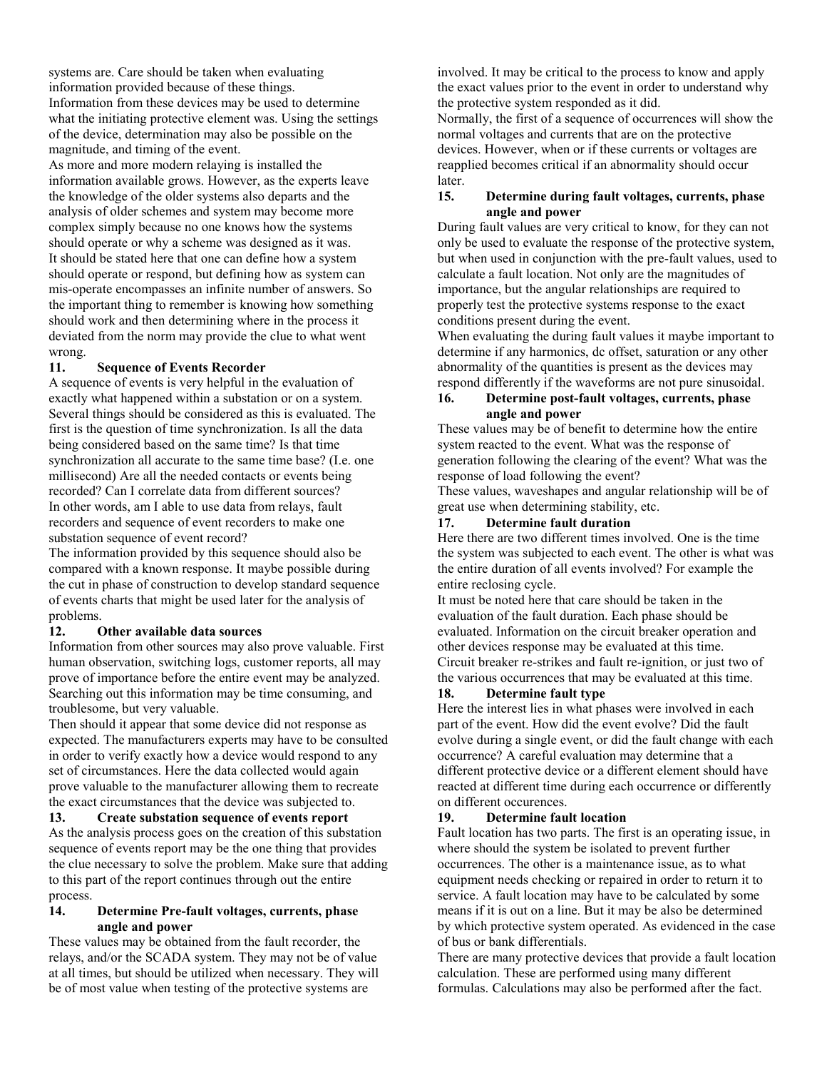systems are. Care should be taken when evaluating information provided because of these things. Information from these devices may be used to determine what the initiating protective element was. Using the settings of the device, determination may also be possible on the magnitude, and timing of the event.

As more and more modern relaying is installed the information available grows. However, as the experts leave the knowledge of the older systems also departs and the analysis of older schemes and system may become more complex simply because no one knows how the systems should operate or why a scheme was designed as it was. It should be stated here that one can define how a system should operate or respond, but defining how as system can mis-operate encompasses an infinite number of answers. So the important thing to remember is knowing how something should work and then determining where in the process it deviated from the norm may provide the clue to what went wrong.

#### **11. Sequence of Events Recorder**

A sequence of events is very helpful in the evaluation of exactly what happened within a substation or on a system. Several things should be considered as this is evaluated. The first is the question of time synchronization. Is all the data being considered based on the same time? Is that time synchronization all accurate to the same time base? (I.e. one millisecond) Are all the needed contacts or events being recorded? Can I correlate data from different sources? In other words, am I able to use data from relays, fault recorders and sequence of event recorders to make one substation sequence of event record?

The information provided by this sequence should also be compared with a known response. It maybe possible during the cut in phase of construction to develop standard sequence of events charts that might be used later for the analysis of problems.

## **12. Other available data sources**

Information from other sources may also prove valuable. First human observation, switching logs, customer reports, all may prove of importance before the entire event may be analyzed. Searching out this information may be time consuming, and troublesome, but very valuable.

Then should it appear that some device did not response as expected. The manufacturers experts may have to be consulted in order to verify exactly how a device would respond to any set of circumstances. Here the data collected would again prove valuable to the manufacturer allowing them to recreate the exact circumstances that the device was subjected to.

## **13. Create substation sequence of events report**

As the analysis process goes on the creation of this substation sequence of events report may be the one thing that provides the clue necessary to solve the problem. Make sure that adding to this part of the report continues through out the entire process.

## **14. Determine Pre-fault voltages, currents, phase angle and power**

These values may be obtained from the fault recorder, the relays, and/or the SCADA system. They may not be of value at all times, but should be utilized when necessary. They will be of most value when testing of the protective systems are

involved. It may be critical to the process to know and apply the exact values prior to the event in order to understand why the protective system responded as it did.

Normally, the first of a sequence of occurrences will show the normal voltages and currents that are on the protective devices. However, when or if these currents or voltages are reapplied becomes critical if an abnormality should occur later.

#### **15. Determine during fault voltages, currents, phase angle and power**

During fault values are very critical to know, for they can not only be used to evaluate the response of the protective system, but when used in conjunction with the pre-fault values, used to calculate a fault location. Not only are the magnitudes of importance, but the angular relationships are required to properly test the protective systems response to the exact conditions present during the event.

When evaluating the during fault values it maybe important to determine if any harmonics, dc offset, saturation or any other abnormality of the quantities is present as the devices may respond differently if the waveforms are not pure sinusoidal.

#### **16. Determine post-fault voltages, currents, phase angle and power**

These values may be of benefit to determine how the entire system reacted to the event. What was the response of generation following the clearing of the event? What was the response of load following the event?

These values, waveshapes and angular relationship will be of great use when determining stability, etc.

## **17. Determine fault duration**

Here there are two different times involved. One is the time the system was subjected to each event. The other is what was the entire duration of all events involved? For example the entire reclosing cycle.

It must be noted here that care should be taken in the evaluation of the fault duration. Each phase should be evaluated. Information on the circuit breaker operation and other devices response may be evaluated at this time. Circuit breaker re-strikes and fault re-ignition, or just two of the various occurrences that may be evaluated at this time.

# **18. Determine fault type**

Here the interest lies in what phases were involved in each part of the event. How did the event evolve? Did the fault evolve during a single event, or did the fault change with each occurrence? A careful evaluation may determine that a different protective device or a different element should have reacted at different time during each occurrence or differently on different occurences.

#### **19. Determine fault location**

Fault location has two parts. The first is an operating issue, in where should the system be isolated to prevent further occurrences. The other is a maintenance issue, as to what equipment needs checking or repaired in order to return it to service. A fault location may have to be calculated by some means if it is out on a line. But it may be also be determined by which protective system operated. As evidenced in the case of bus or bank differentials.

There are many protective devices that provide a fault location calculation. These are performed using many different formulas. Calculations may also be performed after the fact.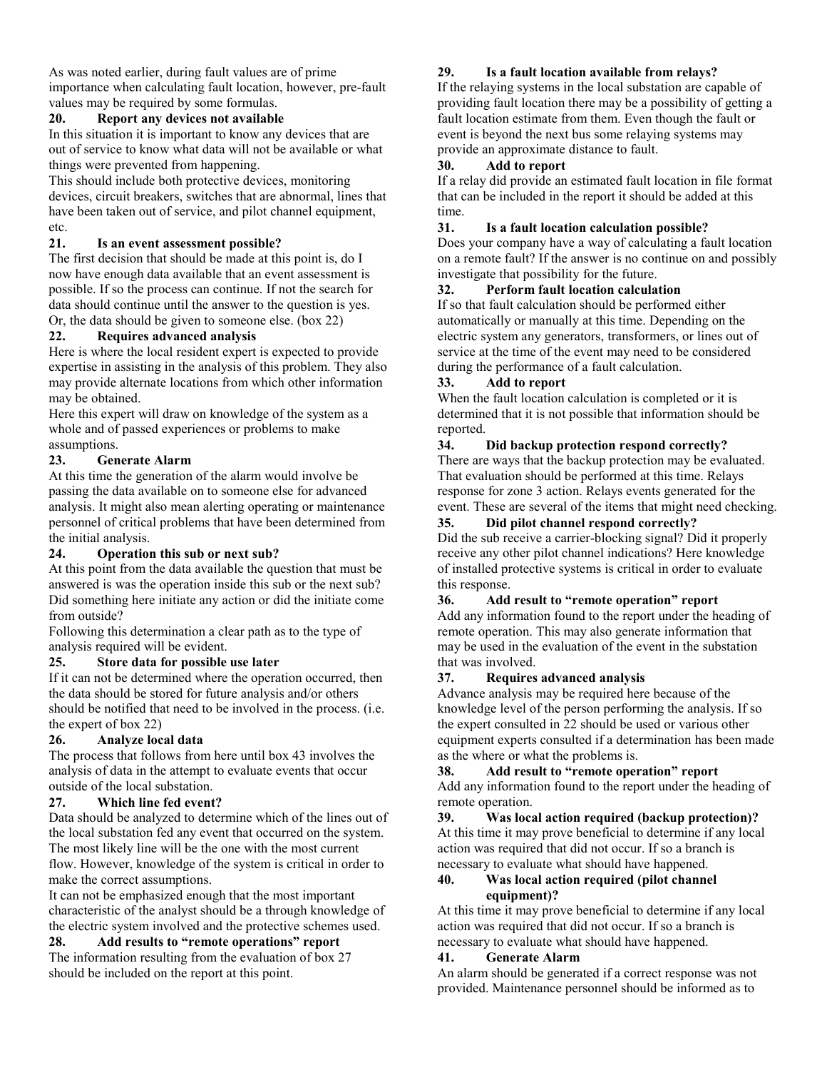As was noted earlier, during fault values are of prime importance when calculating fault location, however, pre-fault values may be required by some formulas.

# **20. Report any devices not available**

In this situation it is important to know any devices that are out of service to know what data will not be available or what things were prevented from happening.

This should include both protective devices, monitoring devices, circuit breakers, switches that are abnormal, lines that have been taken out of service, and pilot channel equipment, etc.

# **21. Is an event assessment possible?**

The first decision that should be made at this point is, do I now have enough data available that an event assessment is possible. If so the process can continue. If not the search for data should continue until the answer to the question is yes. Or, the data should be given to someone else. (box 22)

## **22. Requires advanced analysis**

Here is where the local resident expert is expected to provide expertise in assisting in the analysis of this problem. They also may provide alternate locations from which other information may be obtained.

Here this expert will draw on knowledge of the system as a whole and of passed experiences or problems to make assumptions.

## **23. Generate Alarm**

At this time the generation of the alarm would involve be passing the data available on to someone else for advanced analysis. It might also mean alerting operating or maintenance personnel of critical problems that have been determined from the initial analysis.

## **24. Operation this sub or next sub?**

At this point from the data available the question that must be answered is was the operation inside this sub or the next sub? Did something here initiate any action or did the initiate come from outside?

Following this determination a clear path as to the type of analysis required will be evident.

## **25. Store data for possible use later**

If it can not be determined where the operation occurred, then the data should be stored for future analysis and/or others should be notified that need to be involved in the process. (i.e. the expert of box 22)

## **26. Analyze local data**

The process that follows from here until box 43 involves the analysis of data in the attempt to evaluate events that occur outside of the local substation.

## **27. Which line fed event?**

Data should be analyzed to determine which of the lines out of the local substation fed any event that occurred on the system. The most likely line will be the one with the most current flow. However, knowledge of the system is critical in order to make the correct assumptions.

It can not be emphasized enough that the most important characteristic of the analyst should be a through knowledge of the electric system involved and the protective schemes used.

# **28. Add results to "remote operations" report**

The information resulting from the evaluation of box 27 should be included on the report at this point.

#### **29. Is a fault location available from relays?**

If the relaying systems in the local substation are capable of providing fault location there may be a possibility of getting a fault location estimate from them. Even though the fault or event is beyond the next bus some relaying systems may provide an approximate distance to fault.

## **30. Add to report**

If a relay did provide an estimated fault location in file format that can be included in the report it should be added at this time.

#### **31. Is a fault location calculation possible?**

Does your company have a way of calculating a fault location on a remote fault? If the answer is no continue on and possibly investigate that possibility for the future.

#### **32. Perform fault location calculation**

If so that fault calculation should be performed either automatically or manually at this time. Depending on the electric system any generators, transformers, or lines out of service at the time of the event may need to be considered during the performance of a fault calculation.

#### **33. Add to report**

When the fault location calculation is completed or it is determined that it is not possible that information should be reported.

## **34. Did backup protection respond correctly?**

There are ways that the backup protection may be evaluated. That evaluation should be performed at this time. Relays response for zone 3 action. Relays events generated for the event. These are several of the items that might need checking.

## **35. Did pilot channel respond correctly?**

Did the sub receive a carrier-blocking signal? Did it properly receive any other pilot channel indications? Here knowledge of installed protective systems is critical in order to evaluate this response.

# **36. Add result to "remote operation" report**

Add any information found to the report under the heading of remote operation. This may also generate information that may be used in the evaluation of the event in the substation that was involved.

## **37. Requires advanced analysis**

Advance analysis may be required here because of the knowledge level of the person performing the analysis. If so the expert consulted in 22 should be used or various other equipment experts consulted if a determination has been made as the where or what the problems is.

#### **38. Add result to "remote operation" report**

Add any information found to the report under the heading of remote operation.

**39. Was local action required (backup protection)?**  At this time it may prove beneficial to determine if any local action was required that did not occur. If so a branch is necessary to evaluate what should have happened.

## **40. Was local action required (pilot channel equipment)?**

At this time it may prove beneficial to determine if any local action was required that did not occur. If so a branch is necessary to evaluate what should have happened.

## **41. Generate Alarm**

An alarm should be generated if a correct response was not provided. Maintenance personnel should be informed as to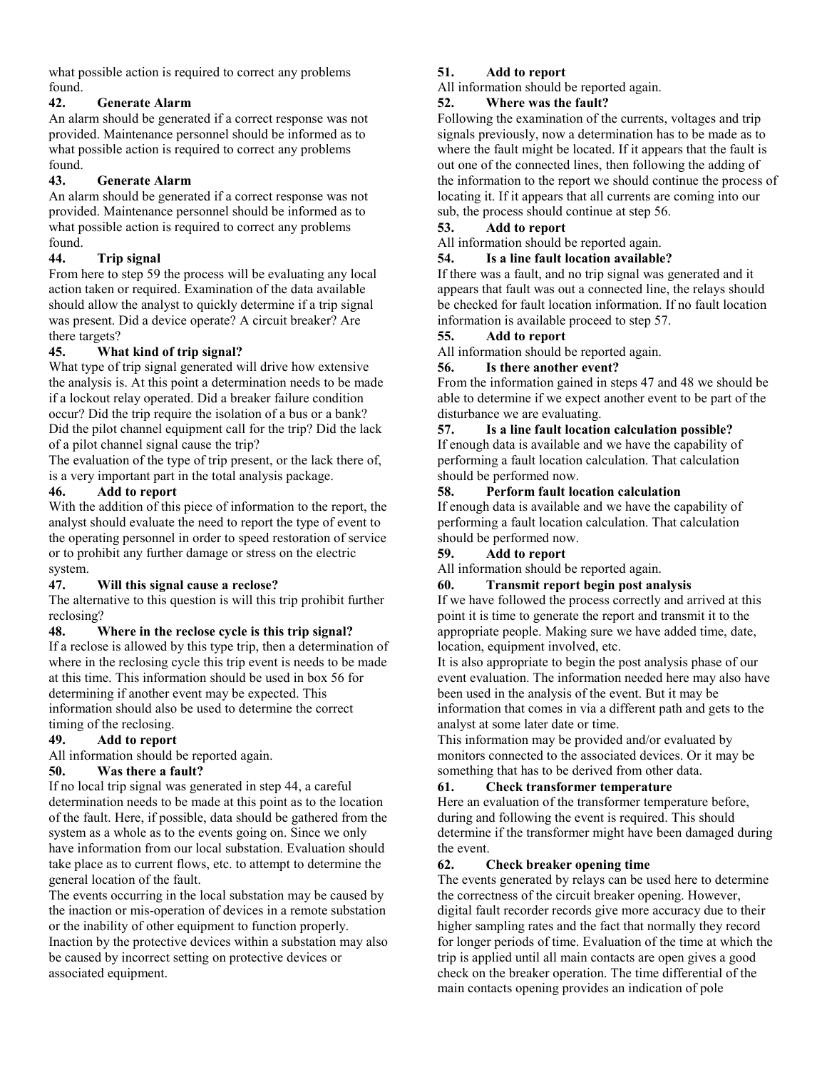what possible action is required to correct any problems found.

## **42. Generate Alarm**

An alarm should be generated if a correct response was not provided. Maintenance personnel should be informed as to what possible action is required to correct any problems found.

# **43. Generate Alarm**

An alarm should be generated if a correct response was not provided. Maintenance personnel should be informed as to what possible action is required to correct any problems found.

# **44. Trip signal**

From here to step 59 the process will be evaluating any local action taken or required. Examination of the data available should allow the analyst to quickly determine if a trip signal was present. Did a device operate? A circuit breaker? Are there targets?

# **45. What kind of trip signal?**

What type of trip signal generated will drive how extensive the analysis is. At this point a determination needs to be made if a lockout relay operated. Did a breaker failure condition occur? Did the trip require the isolation of a bus or a bank? Did the pilot channel equipment call for the trip? Did the lack of a pilot channel signal cause the trip?

The evaluation of the type of trip present, or the lack there of, is a very important part in the total analysis package.

## **46. Add to report**

With the addition of this piece of information to the report, the analyst should evaluate the need to report the type of event to the operating personnel in order to speed restoration of service or to prohibit any further damage or stress on the electric system.

## **47. Will this signal cause a reclose?**

The alternative to this question is will this trip prohibit further reclosing?

## **48. Where in the reclose cycle is this trip signal?**

If a reclose is allowed by this type trip, then a determination of where in the reclosing cycle this trip event is needs to be made at this time. This information should be used in box 56 for determining if another event may be expected. This information should also be used to determine the correct timing of the reclosing.

## **49. Add to report**

All information should be reported again.

# **50. Was there a fault?**

If no local trip signal was generated in step 44, a careful determination needs to be made at this point as to the location of the fault. Here, if possible, data should be gathered from the system as a whole as to the events going on. Since we only have information from our local substation. Evaluation should take place as to current flows, etc. to attempt to determine the general location of the fault.

The events occurring in the local substation may be caused by the inaction or mis-operation of devices in a remote substation or the inability of other equipment to function properly. Inaction by the protective devices within a substation may also

be caused by incorrect setting on protective devices or associated equipment.

## **51. Add to report**

All information should be reported again.

# **52. Where was the fault?**

Following the examination of the currents, voltages and trip signals previously, now a determination has to be made as to where the fault might be located. If it appears that the fault is out one of the connected lines, then following the adding of the information to the report we should continue the process of locating it. If it appears that all currents are coming into our sub, the process should continue at step 56.

## **53. Add to report**

All information should be reported again.

## **54. Is a line fault location available?**

If there was a fault, and no trip signal was generated and it appears that fault was out a connected line, the relays should be checked for fault location information. If no fault location information is available proceed to step 57.

## **55. Add to report**

All information should be reported again.

# **56. Is there another event?**

From the information gained in steps 47 and 48 we should be able to determine if we expect another event to be part of the disturbance we are evaluating.

#### **57. Is a line fault location calculation possible?**  If enough data is available and we have the capability of performing a fault location calculation. That calculation should be performed now.

# **58. Perform fault location calculation**

If enough data is available and we have the capability of performing a fault location calculation. That calculation should be performed now.

# **59. Add to report**

All information should be reported again.

## **60. Transmit report begin post analysis**

If we have followed the process correctly and arrived at this point it is time to generate the report and transmit it to the appropriate people. Making sure we have added time, date, location, equipment involved, etc.

It is also appropriate to begin the post analysis phase of our event evaluation. The information needed here may also have been used in the analysis of the event. But it may be information that comes in via a different path and gets to the analyst at some later date or time.

This information may be provided and/or evaluated by monitors connected to the associated devices. Or it may be something that has to be derived from other data.

# **61. Check transformer temperature**

Here an evaluation of the transformer temperature before, during and following the event is required. This should determine if the transformer might have been damaged during the event.

## **62. Check breaker opening time**

The events generated by relays can be used here to determine the correctness of the circuit breaker opening. However, digital fault recorder records give more accuracy due to their higher sampling rates and the fact that normally they record for longer periods of time. Evaluation of the time at which the trip is applied until all main contacts are open gives a good check on the breaker operation. The time differential of the main contacts opening provides an indication of pole